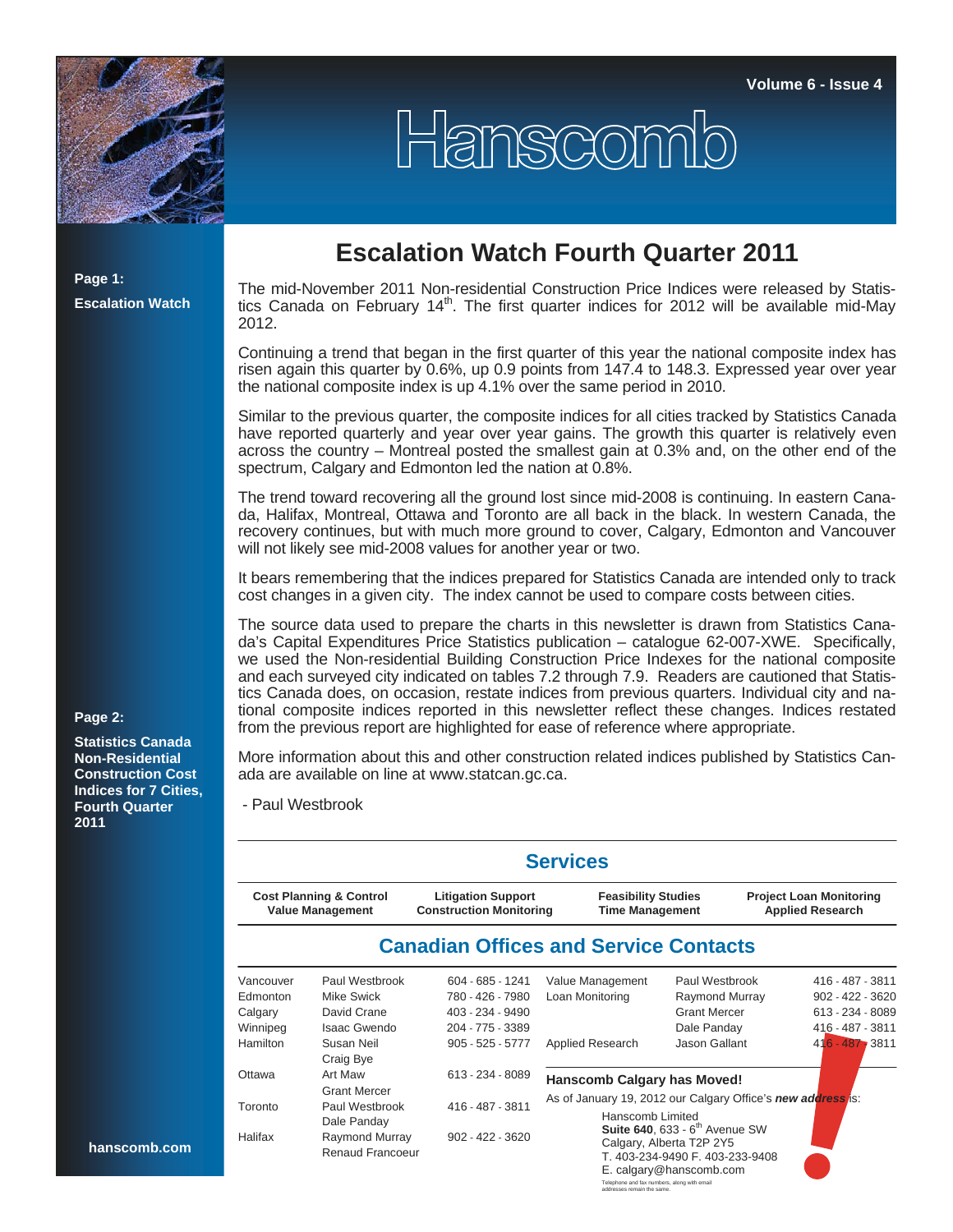

## Hanscom

**Page 1: Escalation Watch**

**Page 2:** 

**2011**

**Statistics Canada Non-Residential Construction Cost Indices for 7 Cities, Fourth Quarter** 

## **Escalation Watch Fourth Quarter 2011**

The mid-November 2011 Non-residential Construction Price Indices were released by Statistics Canada on February  $14<sup>th</sup>$ . The first quarter indices for 2012 will be available mid-May 2012.

Continuing a trend that began in the first quarter of this year the national composite index has risen again this quarter by 0.6%, up 0.9 points from 147.4 to 148.3. Expressed year over year the national composite index is up 4.1% over the same period in 2010.

Similar to the previous quarter, the composite indices for all cities tracked by Statistics Canada have reported quarterly and year over year gains. The growth this quarter is relatively even across the country – Montreal posted the smallest gain at 0.3% and, on the other end of the spectrum, Calgary and Edmonton led the nation at 0.8%.

The trend toward recovering all the ground lost since mid-2008 is continuing. In eastern Canada, Halifax, Montreal, Ottawa and Toronto are all back in the black. In western Canada, the recovery continues, but with much more ground to cover, Calgary, Edmonton and Vancouver will not likely see mid-2008 values for another year or two.

It bears remembering that the indices prepared for Statistics Canada are intended only to track cost changes in a given city. The index cannot be used to compare costs between cities.

The source data used to prepare the charts in this newsletter is drawn from Statistics Canada's Capital Expenditures Price Statistics publication – catalogue 62-007-XWE. Specifically, we used the Non-residential Building Construction Price Indexes for the national composite and each surveyed city indicated on tables 7.2 through 7.9. Readers are cautioned that Statistics Canada does, on occasion, restate indices from previous quarters. Individual city and national composite indices reported in this newsletter reflect these changes. Indices restated from the previous report are highlighted for ease of reference where appropriate.

More information about this and other construction related indices published by Statistics Canada are available on line at www.statcan.gc.ca.

- Paul Westbrook

|                                                               |                                           |                                                             | <b>Services</b>                                                                                                                      |                     |                                                           |  |  |  |
|---------------------------------------------------------------|-------------------------------------------|-------------------------------------------------------------|--------------------------------------------------------------------------------------------------------------------------------------|---------------------|-----------------------------------------------------------|--|--|--|
| <b>Cost Planning &amp; Control</b><br><b>Value Management</b> |                                           | <b>Litigation Support</b><br><b>Construction Monitoring</b> | <b>Feasibility Studies</b><br><b>Time Management</b>                                                                                 |                     | <b>Project Loan Monitoring</b><br><b>Applied Research</b> |  |  |  |
|                                                               |                                           | <b>Canadian Offices and Service Contacts</b>                |                                                                                                                                      |                     |                                                           |  |  |  |
| Vancouver                                                     | Paul Westbrook                            | 604 - 685 - 1241                                            | Value Management                                                                                                                     | Paul Westbrook      | 416 - 487 - 3811                                          |  |  |  |
| <b>Edmonton</b>                                               | Mike Swick                                | 780 - 426 - 7980                                            | Loan Monitoring                                                                                                                      | Raymond Murray      | $902 - 422 - 3620$                                        |  |  |  |
| Calgary                                                       | David Crane                               | 403 - 234 - 9490                                            |                                                                                                                                      | <b>Grant Mercer</b> | 613 - 234 - 8089                                          |  |  |  |
| Winnipeg                                                      | <b>Isaac Gwendo</b>                       | 204 - 775 - 3389                                            |                                                                                                                                      | Dale Panday         | 416 - 487 - 3811                                          |  |  |  |
| Hamilton                                                      | Susan Neil<br>Craig Bye                   | $905 - 525 - 5777$                                          | Applied Research                                                                                                                     | Jason Gallant       | $416 - 487 - 3811$                                        |  |  |  |
| Ottawa                                                        | Art Maw                                   | 613 - 234 - 8089                                            | <b>Hanscomb Calgary has Moved!</b>                                                                                                   |                     |                                                           |  |  |  |
|                                                               | <b>Grant Mercer</b>                       |                                                             | As of January 19, 2012 our Calgary Office's new address is:                                                                          |                     |                                                           |  |  |  |
| Toronto                                                       | Paul Westbrook<br>Dale Panday             | 416 - 487 - 3811                                            | Hanscomb Limited                                                                                                                     |                     |                                                           |  |  |  |
| Halifax                                                       | Raymond Murray<br><b>Renaud Francoeur</b> | $902 - 422 - 3620$                                          | Suite 640, 633 - 6 <sup>th</sup> Avenue SW<br>Calgary, Alberta T2P 2Y5<br>T. 403-234-9490 F. 403-233-9408<br>E. calgary@hanscomb.com |                     |                                                           |  |  |  |

Telephone and fax numbers, along with email addresses remain the same.

**hanscomb.com**